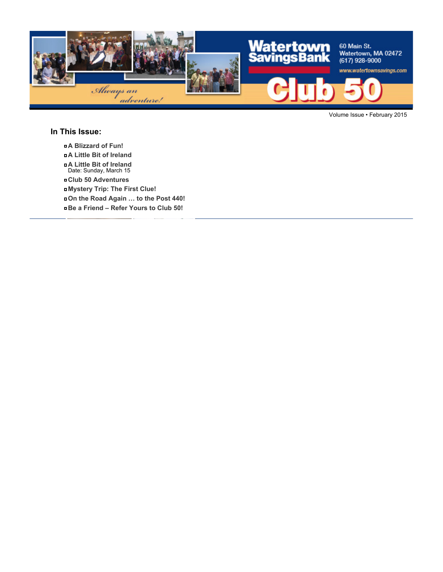

Volume Issue • February 2015

#### **In This Issue:**

- **A Blizzard of Fun!**
- **A Little Bit of Ireland**
- **A Little Bit of Ireland** Date: Sunday, March 15
- **Club 50 Adventures**
- **Mystery Trip: The First Clue!**
- **On the Road Again … to the Post 440!**
- **Be a Friend Refer Yours to Club 50!**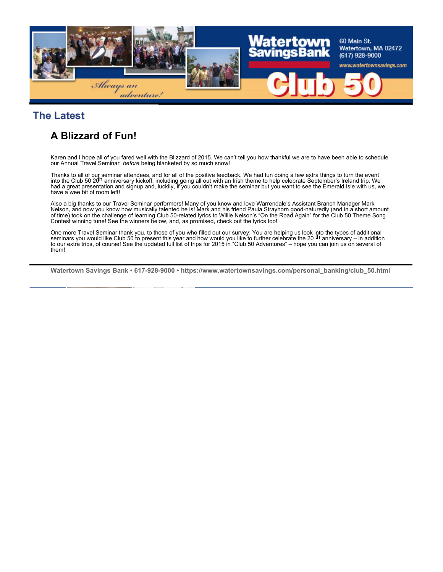

### **The Latest**

# **A Blizzard of Fun!**

Karen and I hope all of you fared well with the Blizzard of 2015. We can't tell you how thankful we are to have been able to schedule our Annual Travel Seminar *before* being blanketed by so much snow!

Thanks to all of our seminar attendees, and for all of the positive feedback. We had fun doing a few extra things to turn the event<br>into the Club 50 20<sup>h</sup> anniversary kickoff, including going all out with an Irish theme to had a great presentation and signup and, luckily, if you couldn't make the seminar but you want to see the Emerald Isle with us, we have a wee bit of room left!

Also a big thanks to our Travel Seminar performers! Many of you know and love Warrendale's Assistant Branch Manager Mark Nelson, and now you know how musically talented he is! Mark and his friend Paula Strayhorn good-naturedly (and in a short amount of time) took on the challenge of learning Club 50-related lyrics to Willie Nelson's "On the Road Again" for the Club 50 Theme Song Contest winning tune! See the winners below, and, as promised, check out the lyrics too!

One more Travel Seminar thank you, to those of you who filled out our survey: You are helping us look into the types of additional<br>seminars you would like Club 50 to present this year and how would you like to further cele to our extra trips, of course! See the updated full list of trips for 2015 in "Club 50 Adventures" – hope you can join us on several of them!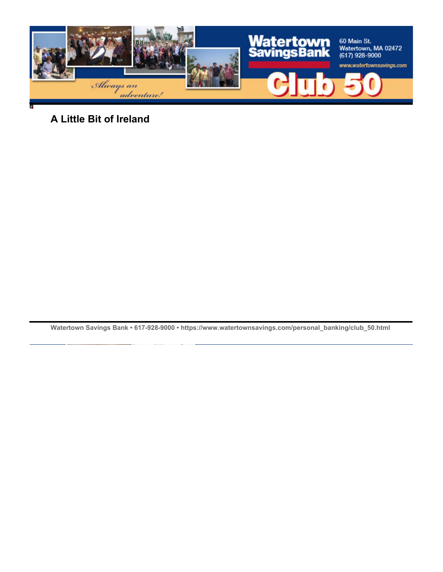

**A Little Bit of Ireland**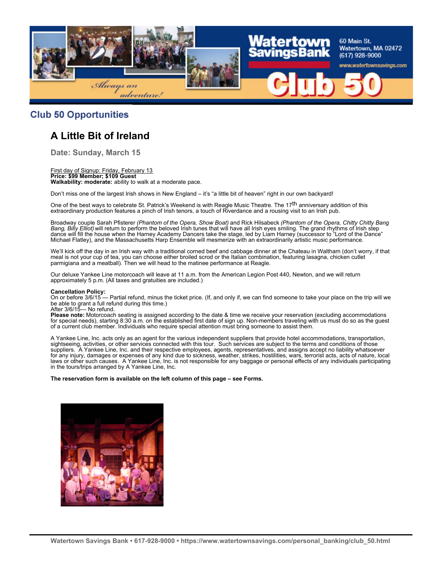

#### **Club 50 Opportunities**

# **A Little Bit of Ireland**

**Date: Sunday, March 15**

#### First day of Signup: Friday, February 13 **Price: \$99 Member; \$109 Guest Walkability: moderate:** ability to walk at a moderate pace.

Don't miss one of the largest Irish shows in New England – it's "a little bit of heaven" right in our own backyard!

One of the best ways to celebrate St. Patrick's Weekend is with Reagle Music Theatre. The 17<sup>th</sup> anniversary addition of this extraordinary production features a pinch of Irish tenors, a touch of Riverdance and a rousing visit to an Irish pub.

Broadway couple Sarah Pfisterer *(Phantom of the Opera, Show Boat)* and Rick Hilsabeck *(Phantom of the Opera, Chitty Chitty Bang Bang, Billy Elliot)* will return to perform the beloved Irish tunes that will have all Irish eyes smiling. The grand rhythms of Irish step dance will fill the house when the Harney Academy Dancers take the stage, led by Liam Harney (successor to "Lord of the Dance" Michael Flatley), and the Massachusetts Harp Ensemble will mesmerize with an extraordinarily artistic music performance.

We'll kick off the day in an Irish way with a traditional corned beef and cabbage dinner at the Chateau in Waltham (don't worry, if that meal is not your cup of tea, you can choose either broiled scrod or the Italian combination, featuring lasagna, chicken cutlet parmigiana and a meatball). Then we will head to the matinee performance at Reagle.

Our deluxe Yankee Line motorcoach will leave at 11 a.m. from the American Legion Post 440, Newton, and we will return approximately 5 p.m. (All taxes and gratuities are included.)

#### **Cancellation Policy:**

On or before 3/6/15 — Partial refund, minus the ticket price. (If, and only if, we can find someone to take your place on the trip will we be able to grant a full refund during this time.)

After 3/6/15— No refund.

**Please note:** Motorcoach seating is assigned according to the date & time we receive your reservation (excluding accommodations for special needs), starting 8:30 a.m. on the established first date of sign up. Non-members traveling with us must do so as the guest of a current club member. Individuals who require special attention must bring someone to assist them.

A Yankee Line, Inc. acts only as an agent for the various independent suppliers that provide hotel accommodations, transportation, sightseeing, activities, or other services connected with this tour. Such services are subject to the terms and conditions of those suppliers. A Yankee Line, Inc. and their respective employees, agents, representatives, and assigns accept no liability whatsoever for any injury, damages or expenses of any kind due to sickness, weather, strikes, hostilities, wars, terrorist acts, acts of nature, local laws or other such causes. A Yankee Line, Inc. is not responsible for any baggage or personal effects of any individuals participating in the tours/trips arranged by A Yankee Line, Inc.

#### **The reservation form is available on the left column of this page – see Forms.**

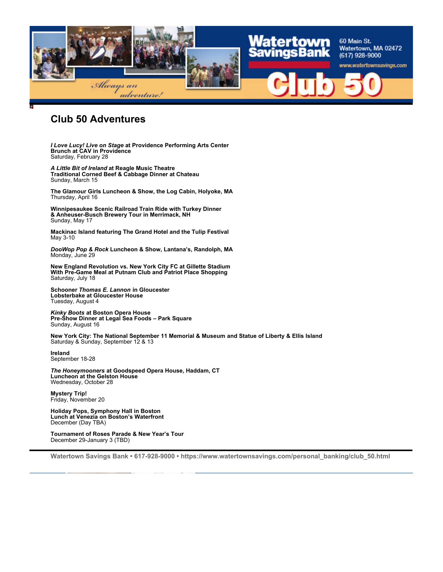

### **Club 50 Adventures**

*I Love Lucy! Live on Stage* **at Providence Performing Arts Center Brunch at CAV in Providence** Saturday, February 28

*A Little Bit of Ireland* **at Reagle Music Theatre Traditional Corned Beef & Cabbage Dinner at Chateau** Sunday, March 15

**The Glamour Girls Luncheon & Show, the Log Cabin, Holyoke, MA** Thursday, April 16

**Winnipesaukee Scenic Railroad Train Ride with Turkey Dinner & Anheuser-Busch Brewery Tour in Merrimack, NH** Sunday, May 17

**Mackinac Island featuring The Grand Hotel and the Tulip Festival** May 3-10

*DooWop Pop & Rock* **Luncheon & Show, Lantana's, Randolph, MA** Monday, June 29

**New England Revolution vs. New York City FC at Gillette Stadium With Pre-Game Meal at Putnam Club and Patriot Place Shopping** Saturday, July 18

**Schooner** *Thomas E. Lannon* **in Gloucester Lobsterbake at Gloucester House** Tuesday, August 4

*Kinky Boots* **at Boston Opera House Pre-Show Dinner at Legal Sea Foods – Park Square** Sunday, August 16

**New York City: The National September 11 Memorial & Museum and Statue of Liberty & Ellis Island** Saturday & Sunday, September 12 & 13

**Ireland** September 18-28

*The Honeymooners* **at Goodspeed Opera House, Haddam, CT Luncheon at the Gelston House** Wednesday, October 28

**Mystery Trip!** Friday, November 20

**Holiday Pops, Symphony Hall in Boston Lunch at Venezia on Boston's Waterfront** December (Day TBA)

**Tournament of Roses Parade & New Year's Tour** December 29-January 3 (TBD)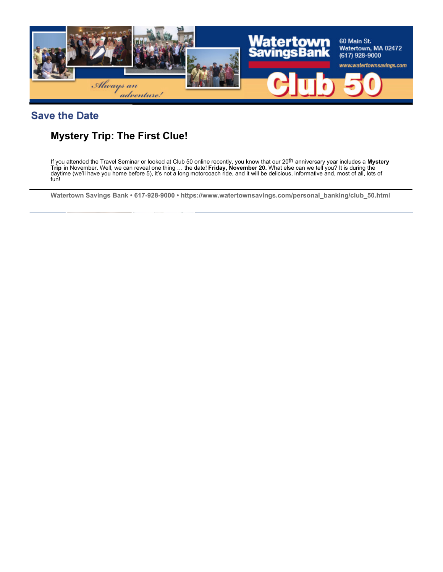

### **Save the Date**

# **Mystery Trip: The First Clue!**

If you attended the Travel Seminar or looked at Club 50 online recently, you know that our 20th anniversary year includes a **Mystery Trip** in November. Well, we can reveal one thing … the date! **Friday, November 20.** What else can we tell you? It is during the daytime (we'll have you home before 5), it's not a long motorcoach ride, and it will be delicious, informative and, most of all, lots of fun!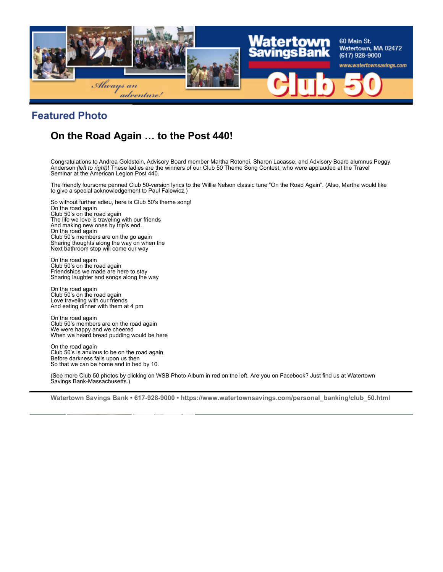

## **Featured Photo**

# **On the Road Again … to the Post 440!**

Congratulations to Andrea Goldstein, Advisory Board member Martha Rotondi, Sharon Lacasse, and Advisory Board alumnus Peggy Anderson *(left to right)*! These ladies are the winners of our Club 50 Theme Song Contest, who were applauded at the Travel Seminar at the American Legion Post 440.

The friendly foursome penned Club 50-version lyrics to the Willie Nelson classic tune "On the Road Again". (Also, Martha would like to give a special acknowledgement to Paul Falewicz.)

So without further adieu, here is Club 50's theme song! On the road again Club 50's on the road again The life we love is traveling with our friends And making new ones by trip's end. On the road again Club 50's members are on the go again Sharing thoughts along the way on when the Next bathroom stop will come our way

On the road again Club 50's on the road again Friendships we made are here to stay Sharing laughter and songs along the way

On the road again Club 50's on the road again Love traveling with our friends And eating dinner with them at 4 pm

On the road again Club 50's members are on the road again We were happy and we cheered When we heard bread pudding would be here

On the road again Club 50's is anxious to be on the road again Before darkness falls upon us then So that we can be home and in bed by 10.

(See more Club 50 photos by clicking on WSB Photo Album in red on the left. Are you on Facebook? Just find us at Watertown Savings Bank-Massachusetts.)